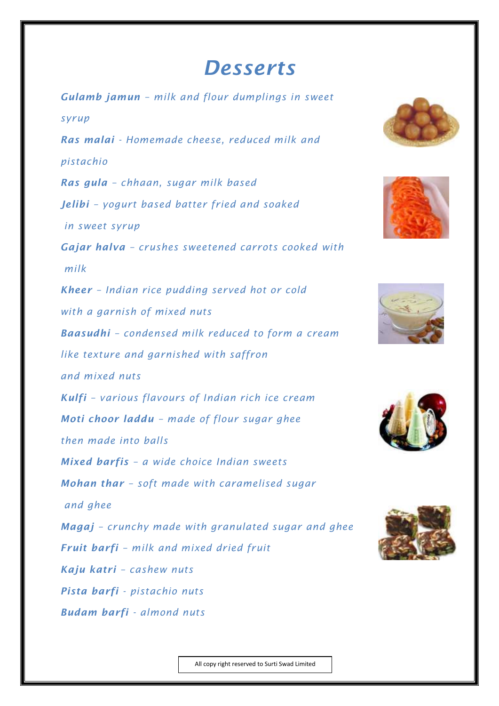## *Desserts*

*Gulamb jamun – milk and flour dumplings in sweet syrup Ras malai - Homemade cheese, reduced milk and pistachio Ras gula – chhaan, sugar milk based Jelibi – yogurt based batter fried and soaked in sweet syrup Gajar halva – crushes sweetened carrots cooked with milk Kheer – Indian rice pudding served hot or cold with a garnish of mixed nuts Baasudhi – condensed milk reduced to form a cream like texture and garnished with saffron and mixed nuts Kulfi – various flavours of Indian rich ice cream Moti choor laddu – made of flour sugar ghee then made into balls Mixed barfis – a wide choice Indian sweets Mohan thar – soft made with caramelised sugar and ghee Magaj – crunchy made with granulated sugar and ghee Fruit barfi – milk and mixed dried fruit Kaju katri – cashew nuts Pista barfi - pistachio nuts Budam barfi - almond nuts* 











All copy right reserved to Surti Swad Limited